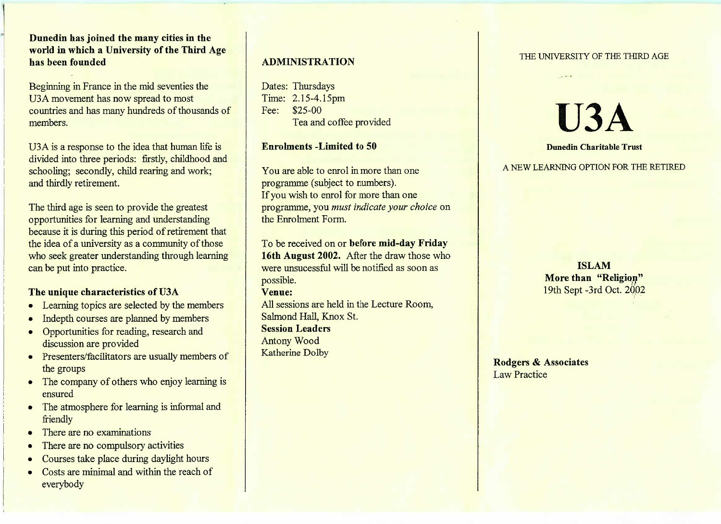**Dunedin has joined the many cities in the world in which a University of the Third Agehas been founded**

Beginning in France in the mid seventies theUSA movement has now spread to most countries and has many hundreds of thousands ofmembers.

U3A is a response to the idea that human life is divided into three periods: firstly, childhood andschooling; secondly, child rearing and work;and thirdly retirement.

The third age is seen to provide the greatest opportunities for learning and understanding because it is during this period of retirement that the idea of a university as a community of those who seek greater understanding through learningcan be put into practice.

## **The unique characteristics of U3A**

- Learning topics are selected by the members
- Indepth courses are planned by members
- Opportunities for reading, research and discussion are provided
- Presenters/facilitators are usually members of the groups
- The company of others who enjoy learning is ensured
- The atmosphere for learning is informal and friendly
- There are no examinations
- There are no compulsory activities
- Courses take place during daylight hours
- Costs are minimal and within the reach of everybody

## **ADMINISTRATION**

Dates: Thursdays Time: 2.15-4.15pmFee: \$25-00Tea and coffee provided

#### **Enrolments -Limited to 50**

You are able to enrol in more than oneprogramme (subject to numbers).If you wish to enrol for more than one programme, you *must indicate your choice* onthe Enrolment Form.

To be received on or **before mid-day Friday 16th August 2002.** After the draw those whowere unsucessful will be notified as soon aspossible.**Venue:**All sessions are held in the Lecture Room,

Salmond Hall, Knox St.**Session Leaders**Antony WoodKatherine Dolby

#### THE UNIVERSITY OF THE THIRD AGE

# **U3A**

#### **Dunedin Charitable Trust**

A NEW LEARNING OPTION FOR THE RETIRED

**ISLAM More than "Religion"**19th Sept-3rd Oct. 2002

**Rodgers & Associates**Law Practice